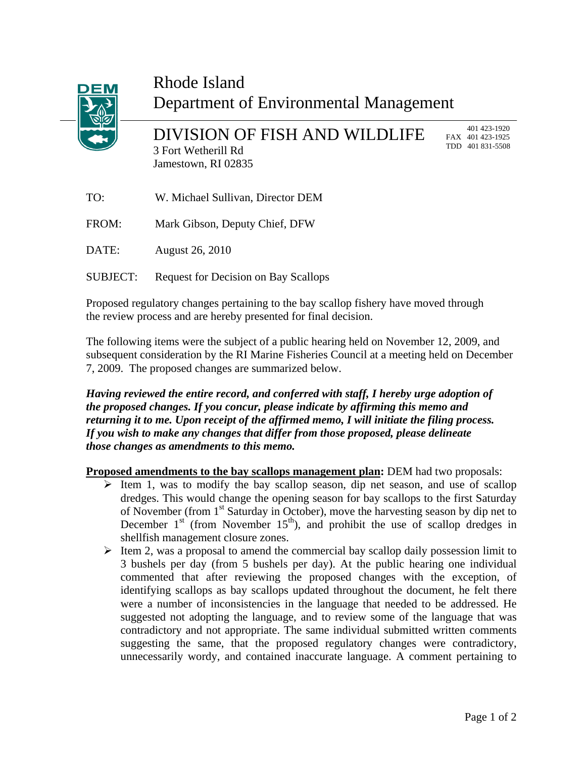

## Rhode Island Department of Environmental Management

DIVISION OF FISH AND WILDLIFE 3 Fort Wetherill Rd Jamestown, RI 02835

 401 423-1920 FAX 401 423-1925 TDD 401 831-5508

| TO:   | W. Michael Sullivan, Director DEM |
|-------|-----------------------------------|
| FROM: | Mark Gibson, Deputy Chief, DFW    |
| DATE: | August 26, 2010                   |
|       |                                   |

SUBJECT: Request for Decision on Bay Scallops

Proposed regulatory changes pertaining to the bay scallop fishery have moved through the review process and are hereby presented for final decision.

The following items were the subject of a public hearing held on November 12, 2009, and subsequent consideration by the RI Marine Fisheries Council at a meeting held on December 7, 2009. The proposed changes are summarized below.

*Having reviewed the entire record, and conferred with staff, I hereby urge adoption of the proposed changes. If you concur, please indicate by affirming this memo and returning it to me. Upon receipt of the affirmed memo, I will initiate the filing process. If you wish to make any changes that differ from those proposed, please delineate those changes as amendments to this memo.* 

**Proposed amendments to the bay scallops management plan: DEM had two proposals:** 

- $\triangleright$  Item 1, was to modify the bay scallop season, dip net season, and use of scallop dredges. This would change the opening season for bay scallops to the first Saturday of November (from 1<sup>st</sup> Saturday in October), move the harvesting season by dip net to December  $1<sup>st</sup>$  (from November  $15<sup>th</sup>$ ), and prohibit the use of scallop dredges in shellfish management closure zones.
- $\triangleright$  Item 2, was a proposal to amend the commercial bay scallop daily possession limit to 3 bushels per day (from 5 bushels per day). At the public hearing one individual commented that after reviewing the proposed changes with the exception, of identifying scallops as bay scallops updated throughout the document, he felt there were a number of inconsistencies in the language that needed to be addressed. He suggested not adopting the language, and to review some of the language that was contradictory and not appropriate. The same individual submitted written comments suggesting the same, that the proposed regulatory changes were contradictory, unnecessarily wordy, and contained inaccurate language. A comment pertaining to